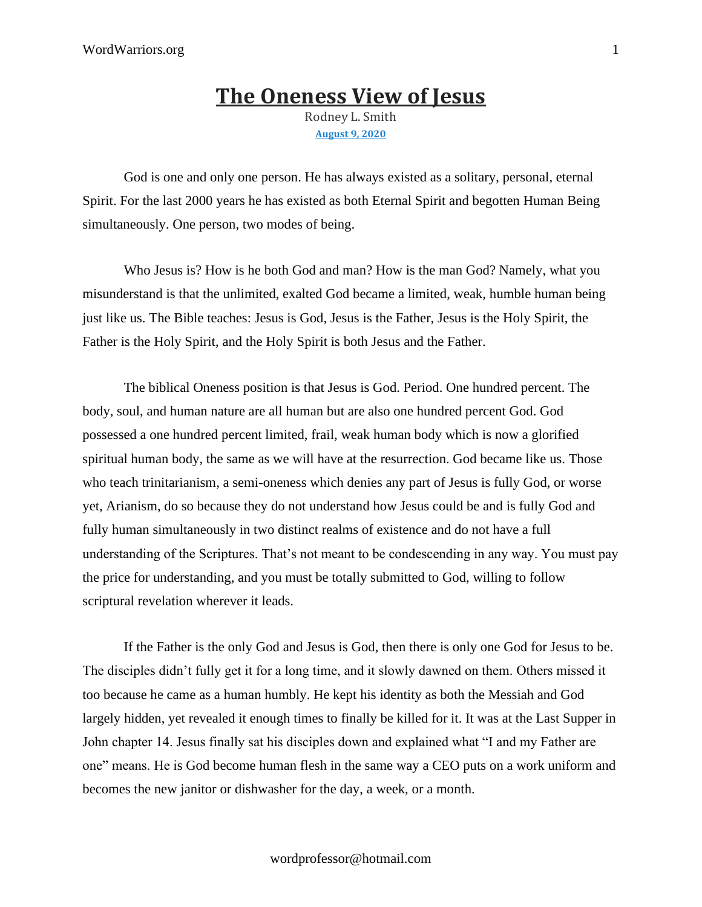## **The [Oneness](https://discipleinthelight.wordpress.com/2021/07/17/the-oneness-view-of-jesus/) View of Jesus** Rodney L. Smith **[August](https://discipleinthelight.wordpress.com/2021/07/17/the-oneness-view-of-jesus/) 9, 2020**

God is one and only one person. He has always existed as a solitary, personal, eternal Spirit. For the last 2000 years he has existed as both Eternal Spirit and begotten Human Being simultaneously. One person, two modes of being.

Who Jesus is? How is he both God and man? How is the man God? Namely, what you misunderstand is that the unlimited, exalted God became a limited, weak, humble human being just like us. The Bible teaches: Jesus is God, Jesus is the Father, Jesus is the Holy Spirit, the Father is the Holy Spirit, and the Holy Spirit is both Jesus and the Father.

The biblical Oneness position is that Jesus is God. Period. One hundred percent. The body, soul, and human nature are all human but are also one hundred percent God. God possessed a one hundred percent limited, frail, weak human body which is now a glorified spiritual human body, the same as we will have at the resurrection. God became like us. Those who teach trinitarianism, a semi-oneness which denies any part of Jesus is fully God, or worse yet, Arianism, do so because they do not understand how Jesus could be and is fully God and fully human simultaneously in two distinct realms of existence and do not have a full understanding of the Scriptures. That's not meant to be condescending in any way. You must pay the price for understanding, and you must be totally submitted to God, willing to follow scriptural revelation wherever it leads.

If the Father is the only God and Jesus is God, then there is only one God for Jesus to be. The disciples didn't fully get it for a long time, and it slowly dawned on them. Others missed it too because he came as a human humbly. He kept his identity as both the Messiah and God largely hidden, yet revealed it enough times to finally be killed for it. It was at the Last Supper in John chapter 14. Jesus finally sat his disciples down and explained what "I and my Father are one" means. He is God become human flesh in the same way a CEO puts on a work uniform and becomes the new janitor or dishwasher for the day, a week, or a month.